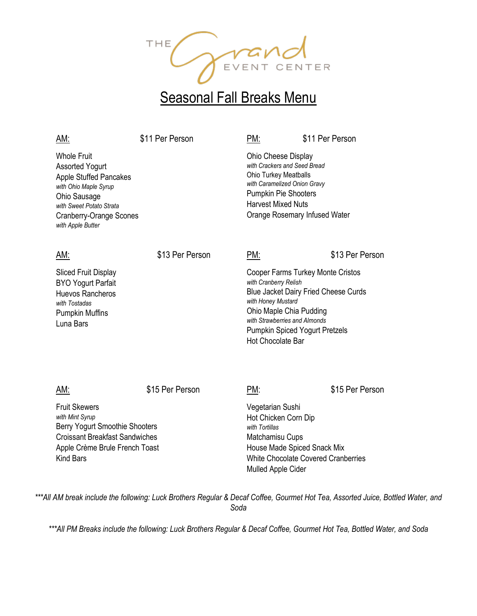

# **Seasonal Fall Breaks Menu**

| AM:                                                                                                                                                                                                       | \$11 Per Person | PM:                                                                                                                                                                                                                                                       | \$11 Per Person |
|-----------------------------------------------------------------------------------------------------------------------------------------------------------------------------------------------------------|-----------------|-----------------------------------------------------------------------------------------------------------------------------------------------------------------------------------------------------------------------------------------------------------|-----------------|
| <b>Whole Fruit</b><br><b>Assorted Yogurt</b><br><b>Apple Stuffed Pancakes</b><br>with Ohio Maple Syrup<br>Ohio Sausage<br>with Sweet Potato Strata<br><b>Cranberry-Orange Scones</b><br>with Apple Butter |                 | Ohio Cheese Display<br>with Crackers and Seed Bread<br>Ohio Turkey Meatballs<br>with Caramelized Onion Gravy<br><b>Pumpkin Pie Shooters</b><br><b>Harvest Mixed Nuts</b><br>Orange Rosemary Infused Water                                                 |                 |
| <u>AM:</u>                                                                                                                                                                                                | \$13 Per Person | PM:                                                                                                                                                                                                                                                       | \$13 Per Person |
| <b>Sliced Fruit Display</b><br><b>BYO Yogurt Parfait</b><br><b>Huevos Rancheros</b><br>with Tostadas<br><b>Pumpkin Muffins</b><br>Luna Bars                                                               |                 | Cooper Farms Turkey Monte Cristos<br>with Cranberry Relish<br><b>Blue Jacket Dairy Fried Cheese Curds</b><br>with Honey Mustard<br>Ohio Maple Chia Pudding<br>with Strawberries and Almonds<br>Pumpkin Spiced Yogurt Pretzels<br><b>Hot Chocolate Bar</b> |                 |
| AM:                                                                                                                                                                                                       | \$15 Per Person | PM:                                                                                                                                                                                                                                                       | \$15 Per Person |
| <b>Fruit Skewers</b><br>with Mint Syrup<br>Berry Yogurt Smoothie Shooters<br><b>Croissant Breakfast Sandwiches</b><br>Apple Crème Brule French Toast<br><b>Kind Bars</b>                                  |                 | Vegetarian Sushi<br>Hot Chicken Corn Dip<br>with Tortillas<br>Matchamisu Cups<br>House Made Spiced Snack Mix<br>White Chocolate Covered Cranberries<br>Mulled Apple Cider                                                                                 |                 |

*\*\*\*All AM break include the following: Luck Brothers Regular & Decaf Coffee, Gourmet Hot Tea, Assorted Juice, Bottled Water, and Soda* 

*\*\*\*All PM Breaks include the following: Luck Brothers Regular & Decaf Coffee, Gourmet Hot Tea, Bottled Water, and Soda*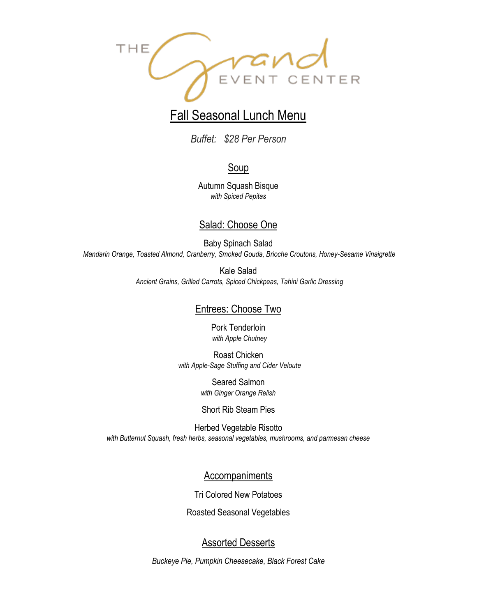

# Fall Seasonal Lunch Menu

*Buffet: \$28 Per Person*

# **Soup**

Autumn Squash Bisque *with Spiced Pepitas*

## Salad: Choose One

Baby Spinach Salad *Mandarin Orange, Toasted Almond, Cranberry, Smoked Gouda, Brioche Croutons, Honey-Sesame Vinaigrette*

> Kale Salad *Ancient Grains, Grilled Carrots, Spiced Chickpeas, Tahini Garlic Dressing*

### Entrees: Choose Two

Pork Tenderloin *with Apple Chutney*

Roast Chicken *with Apple-Sage Stuffing and Cider Veloute*

> Seared Salmon *with Ginger Orange Relish*

Short Rib Steam Pies

Herbed Vegetable Risotto *with Butternut Squash, fresh herbs, seasonal vegetables, mushrooms, and parmesan cheese*

Accompaniments

Tri Colored New Potatoes

Roasted Seasonal Vegetables

## Assorted Desserts

*Buckeye Pie, Pumpkin Cheesecake, Black Forest Cake*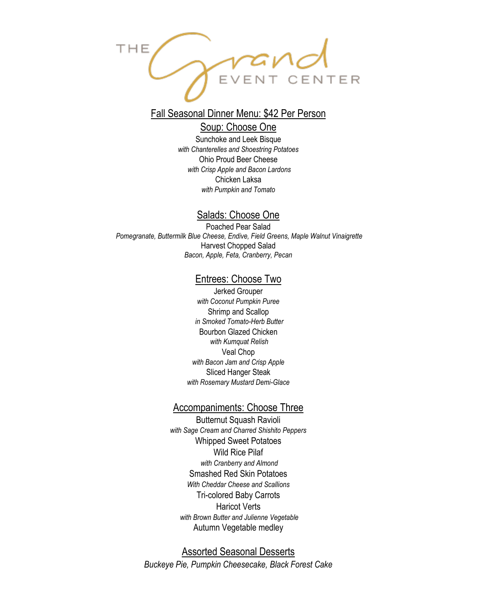

# Fall Seasonal Dinner Menu: \$42 Per Person

#### Soup: Choose One

Sunchoke and Leek Bisque *with Chanterelles and Shoestring Potatoes* Ohio Proud Beer Cheese *with Crisp Apple and Bacon Lardons* Chicken Laksa *with Pumpkin and Tomato*

#### Salads: Choose One

Poached Pear Salad *Pomegranate, Buttermilk Blue Cheese, Endive, Field Greens, Maple Walnut Vinaigrette* Harvest Chopped Salad *Bacon, Apple, Feta, Cranberry, Pecan*

#### Entrees: Choose Two

Jerked Grouper *with Coconut Pumpkin Puree* Shrimp and Scallop *in Smoked Tomato-Herb Butter* Bourbon Glazed Chicken *with Kumquat Relish* Veal Chop *with Bacon Jam and Crisp Apple* Sliced Hanger Steak *with Rosemary Mustard Demi-Glace*

#### Accompaniments: Choose Three

Butternut Squash Ravioli *with Sage Cream and Charred Shishito Peppers* Whipped Sweet Potatoes Wild Rice Pilaf *with Cranberry and Almond* Smashed Red Skin Potatoes *With Cheddar Cheese and Scallions* Tri-colored Baby Carrots Haricot Verts *with Brown Butter and Julienne Vegetable* Autumn Vegetable medley

Assorted Seasonal Desserts *Buckeye Pie, Pumpkin Cheesecake, Black Forest Cake*